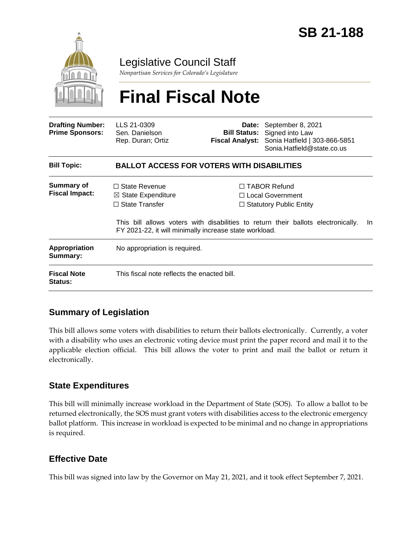

## Legislative Council Staff

*Nonpartisan Services for Colorado's Legislature*

# **Final Fiscal Note**

| <b>Drafting Number:</b><br><b>Prime Sponsors:</b> | LLS 21-0309<br>Sen. Danielson<br>Rep. Duran; Ortiz                                                                                       |  | Date: September 8, 2021<br><b>Bill Status:</b> Signed into Law<br>Fiscal Analyst: Sonia Hatfield   303-866-5851<br>Sonia.Hatfield@state.co.us                                |  |
|---------------------------------------------------|------------------------------------------------------------------------------------------------------------------------------------------|--|------------------------------------------------------------------------------------------------------------------------------------------------------------------------------|--|
| <b>Bill Topic:</b>                                | <b>BALLOT ACCESS FOR VOTERS WITH DISABILITIES</b>                                                                                        |  |                                                                                                                                                                              |  |
| Summary of<br><b>Fiscal Impact:</b>               | $\Box$ State Revenue<br>$\boxtimes$ State Expenditure<br>$\Box$ State Transfer<br>FY 2021-22, it will minimally increase state workload. |  | $\Box$ TABOR Refund<br>$\Box$ Local Government<br>$\Box$ Statutory Public Entity<br>This bill allows voters with disabilities to return their ballots electronically.<br>In. |  |
| <b>Appropriation</b><br>Summary:                  | No appropriation is required.                                                                                                            |  |                                                                                                                                                                              |  |
| <b>Fiscal Note</b><br><b>Status:</b>              | This fiscal note reflects the enacted bill.                                                                                              |  |                                                                                                                                                                              |  |

### **Summary of Legislation**

This bill allows some voters with disabilities to return their ballots electronically. Currently, a voter with a disability who uses an electronic voting device must print the paper record and mail it to the applicable election official. This bill allows the voter to print and mail the ballot or return it electronically.

### **State Expenditures**

This bill will minimally increase workload in the Department of State (SOS). To allow a ballot to be returned electronically, the SOS must grant voters with disabilities access to the electronic emergency ballot platform. This increase in workload is expected to be minimal and no change in appropriations is required.

### **Effective Date**

This bill was signed into law by the Governor on May 21, 2021, and it took effect September 7, 2021.